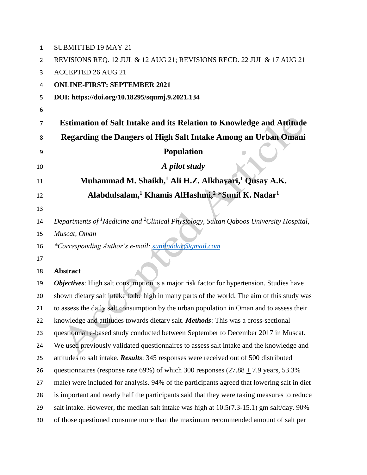| $\mathbf{1}$   | <b>SUBMITTED 19 MAY 21</b>                                                                                    |
|----------------|---------------------------------------------------------------------------------------------------------------|
| $\overline{2}$ | REVISIONS REQ. 12 JUL & 12 AUG 21; REVISIONS RECD. 22 JUL & 17 AUG 21                                         |
| 3              | <b>ACCEPTED 26 AUG 21</b>                                                                                     |
| 4              | <b>ONLINE-FIRST: SEPTEMBER 2021</b>                                                                           |
| 5              | DOI: https://doi.org/10.18295/squmj.9.2021.134                                                                |
| 6              |                                                                                                               |
| 7              | <b>Estimation of Salt Intake and its Relation to Knowledge and Attitude</b>                                   |
| 8              | Regarding the Dangers of High Salt Intake Among an Urban Omani                                                |
| 9              | <b>Population</b>                                                                                             |
| 10             | A pilot study                                                                                                 |
| 11             | Muhammad M. Shaikh, <sup>1</sup> Ali H.Z. Alkhayari, <sup>1</sup> Qusay A.K.                                  |
| 12             | Alabdulsalam, <sup>1</sup> Khamis AlHashmi, <sup>2</sup> *Sunil K. Nadar <sup>1</sup>                         |
| 13             |                                                                                                               |
| 14             | Departments of <sup>1</sup> Medicine and <sup>2</sup> Clinical Physiology, Sultan Qaboos University Hospital, |
| 15             | Muscat, Oman                                                                                                  |
| 16             | *Corresponding Author's e-mail: sunilnadar@gmail.com                                                          |
| 17             |                                                                                                               |
| 18             | <b>Abstract</b>                                                                                               |
| 19             | Objectives: High salt consumption is a major risk factor for hypertension. Studies have                       |
| 20             | shown dietary salt intake to be high in many parts of the world. The aim of this study was                    |
| 21             | to assess the daily salt consumption by the urban population in Oman and to assess their                      |
| 22             | knowledge and attitudes towards dietary salt. Methods: This was a cross-sectional                             |
| 23             | questionnaire-based study conducted between September to December 2017 in Muscat.                             |
| 24             | We used previously validated questionnaires to assess salt intake and the knowledge and                       |
| 25             | attitudes to salt intake. <b>Results</b> : 345 responses were received out of 500 distributed                 |
| 26             | questionnaires (response rate 69%) of which 300 responses $(27.88 + 7.9 \text{ years}, 53.3\%$                |
| 27             | male) were included for analysis. 94% of the participants agreed that lowering salt in diet                   |
| 28             | is important and nearly half the participants said that they were taking measures to reduce                   |
| 29             | salt intake. However, the median salt intake was high at 10.5(7.3-15.1) gm salt/day. 90%                      |
| 30             | of those questioned consume more than the maximum recommended amount of salt per                              |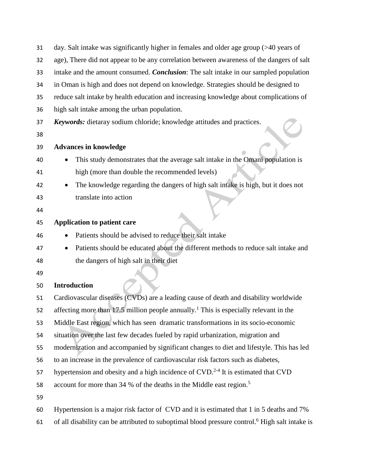| 31       | day. Salt intake was significantly higher in females and older age group $($ >40 years of                  |
|----------|------------------------------------------------------------------------------------------------------------|
| 32       | age), There did not appear to be any correlation between awareness of the dangers of salt                  |
| 33       | intake and the amount consumed. <i>Conclusion</i> : The salt intake in our sampled population              |
| 34       | in Oman is high and does not depend on knowledge. Strategies should be designed to                         |
| 35       | reduce salt intake by health education and increasing knowledge about complications of                     |
| 36       | high salt intake among the urban population.                                                               |
| 37<br>38 | Keywords: dietaray sodium chloride; knowledge attitudes and practices.                                     |
| 39       | <b>Advances in knowledge</b>                                                                               |
| 40       | This study demonstrates that the average salt intake in the Omani population is                            |
| 41       | high (more than double the recommended levels)                                                             |
| 42       | The knowledge regarding the dangers of high salt intake is high, but it does not                           |
| 43       | translate into action                                                                                      |
| 44       |                                                                                                            |
| 45       | <b>Application to patient care</b>                                                                         |
| 46       | Patients should be advised to reduce their salt intake<br>$\bullet$                                        |
| 47       | Patients should be educated about the different methods to reduce salt intake and                          |
| 48       | the dangers of high salt in their diet                                                                     |
| 49       |                                                                                                            |
| 50       | <b>Introduction</b>                                                                                        |
| 51       | Cardiovascular diseases (CVDs) are a leading cause of death and disability worldwide                       |
| 52       | affecting more than 17.5 million people annually. <sup>1</sup> This is especially relevant in the          |
| 53       | Middle East region, which has seen dramatic transformations in its socio-economic                          |
| 54       | situation over the last few decades fueled by rapid urbanization, migration and                            |
| 55       | modernization and accompanied by significant changes to diet and lifestyle. This has led                   |
| 56       | to an increase in the prevalence of cardiovascular risk factors such as diabetes,                          |
| 57       | hypertension and obesity and a high incidence of CVD. <sup>2-4</sup> It is estimated that CVD              |
| 58       | account for more than 34 % of the deaths in the Middle east region. <sup>5</sup>                           |
| 59       |                                                                                                            |
| 60       | Hypertension is a major risk factor of CVD and it is estimated that 1 in 5 deaths and 7%                   |
| 61       | of all disability can be attributed to suboptimal blood pressure control. <sup>6</sup> High salt intake is |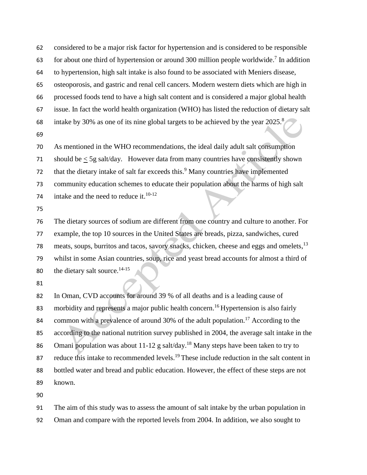considered to be a major risk factor for hypertension and is considered to be responsible 63 for about one third of hypertension or around 300 million people worldwide.<sup>7</sup> In addition to hypertension, high salt intake is also found to be associated with Meniers disease, osteoporosis, and gastric and renal cell cancers. Modern western diets which are high in processed foods tend to have a high salt content and is considered a major global health issue. In fact the world health organization (WHO) has listed the reduction of dietary salt intake by 30% as one of its nine global targets to be achieved by the year 2025. 8 

As mentioned in the WHO recommendations, the ideal daily adult salt consumption

should be < 5g salt/day. However data from many countries have consistently shown

that the dietary intake of salt far exceeds this.<sup>9</sup> Many countries have implemented

community education schemes to educate their population about the harms of high salt

74 intake and the need to reduce it.<sup>10-12</sup>

 The dietary sources of sodium are different from one country and culture to another. For example, the top 10 sources in the United States are breads, pizza, sandwiches, cured 78 meats, soups, burritos and tacos, savory snacks, chicken, cheese and eggs and omelets, <sup>13</sup> whilst in some Asian countries, soup, rice and yeast bread accounts for almost a third of 80 the dietary salt source. $14-15$ 

 In Oman, CVD accounts for around 39 % of all deaths and is a leading cause of 83 morbidity and represents a major public health concern.<sup>16</sup> Hypertension is also fairly 84 common with a prevalence of around 30% of the adult population.<sup>17</sup> According to the according to the national nutrition survey published in 2004, the average salt intake in the 86 Omani population was about 11-12 g salt/day.<sup>18</sup> Many steps have been taken to try to 87 reduce this intake to recommended levels.<sup>19</sup> These include reduction in the salt content in bottled water and bread and public education. However, the effect of these steps are not known.

The aim of this study was to assess the amount of salt intake by the urban population in

Oman and compare with the reported levels from 2004. In addition, we also sought to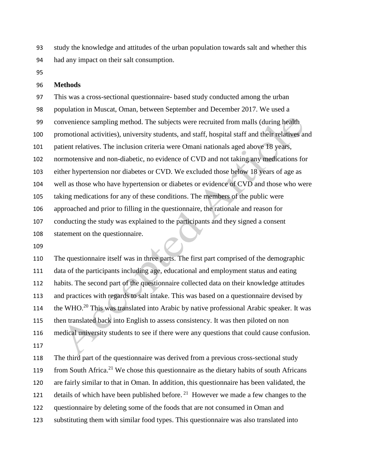study the knowledge and attitudes of the urban population towards salt and whether this had any impact on their salt consumption.

### **Methods**

 This was a cross-sectional questionnaire- based study conducted among the urban population in Muscat, Oman, between September and December 2017. We used a convenience sampling method. The subjects were recruited from malls (during health promotional activities), university students, and staff, hospital staff and their relatives and patient relatives. The inclusion criteria were Omani nationals aged above 18 years, normotensive and non-diabetic, no evidence of CVD and not taking any medications for either hypertension nor diabetes or CVD. We excluded those below 18 years of age as well as those who have hypertension or diabetes or evidence of CVD and those who were taking medications for any of these conditions. The members of the public were approached and prior to filling in the questionnaire, the rationale and reason for conducting the study was explained to the participants and they signed a consent statement on the questionnaire.

 The questionnaire itself was in three parts. The first part comprised of the demographic data of the participants including age, educational and employment status and eating habits. The second part of the questionnaire collected data on their knowledge attitudes and practices with regards to salt intake. This was based on a questionnaire devised by 114 the WHO. This was translated into Arabic by native professional Arabic speaker. It was then translated back into English to assess consistency. It was then piloted on non medical university students to see if there were any questions that could cause confusion. 

 The third part of the questionnaire was derived from a previous cross-sectional study 119 from South Africa.<sup>21</sup> We chose this questionnaire as the dietary habits of south Africans are fairly similar to that in Oman. In addition, this questionnaire has been validated, the 121 details of which have been published before.<sup>21</sup> However we made a few changes to the questionnaire by deleting some of the foods that are not consumed in Oman and substituting them with similar food types. This questionnaire was also translated into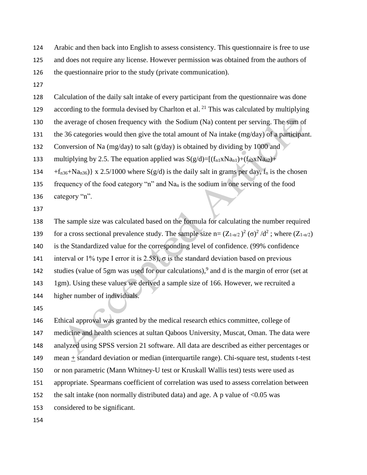Arabic and then back into English to assess consistency. This questionnaire is free to use and does not require any license. However permission was obtained from the authors of the questionnaire prior to the study (private communication).

Calculation of the daily salt intake of every participant from the questionnaire was done

according to the formula devised by Charlton et al.  $^{21}$  This was calculated by multiplying

the average of chosen frequency with the Sodium (Na) content per serving. The sum of

the 36 categories would then give the total amount of Na intake (mg/day) of a participant.

132 Conversion of Na (mg/day) to salt (g/day) is obtained by dividing by 1000 and

133 multiplying by 2.5. The equation applied was  $S(g/d)=[(f_{n1}XNa_{n1})+(f_{n2}XNa_{n2})+$ 

 $+ f_{n36} + Na_{n36}$   $\{ x \cdot 2.5/1000 \text{ where } S(g/d) \text{ is the daily salt in grams per day, } f_n \text{ is the chosen}$ 

135 frequency of the food category "n" and  $Na<sub>n</sub>$  is the sodium in one serving of the food category "n".

 The sample size was calculated based on the formula for calculating the number required 139 for a cross sectional prevalence study. The sample size n=  $(Z_{1-\alpha/2})^2$  (σ)<sup>2</sup>/d<sup>2</sup>; where  $(Z_{1-\alpha/2})$  is the Standardized value for the corresponding level of confidence. (99% confidence 141 interval or 1% type I error it is 2.58),  $\sigma$  is the standard deviation based on previous 142 studies (value of 5gm was used for our calculations),<sup>9</sup> and d is the margin of error (set at 1gm). Using these values we derived a sample size of 166. However, we recruited a higher number of individuals.

 Ethical approval was granted by the medical research ethics committee, college of medicine and health sciences at sultan Qaboos University, Muscat, Oman. The data were analyzed using SPSS version 21 software. All data are described as either percentages or mean + standard deviation or median (interquartile range). Chi-square test, students t-test or non parametric (Mann Whitney-U test or Kruskall Wallis test) tests were used as appropriate. Spearmans coefficient of correlation was used to assess correlation between 152 the salt intake (non normally distributed data) and age. A p value of <0.05 was considered to be significant.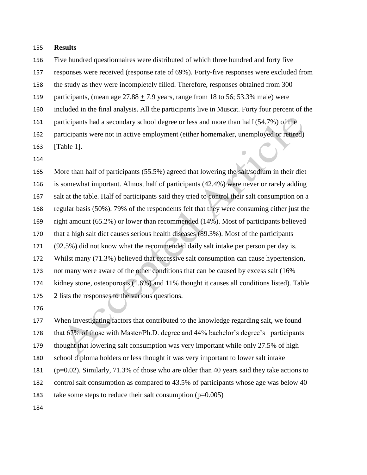### **Results**

Five hundred questionnaires were distributed of which three hundred and forty five

responses were received (response rate of 69%). Forty-five responses were excluded from

the study as they were incompletely filled. Therefore, responses obtained from 300

159 participants, (mean age  $27.88 \pm 7.9$  years, range from 18 to 56; 53.3% male) were

included in the final analysis. All the participants live in Muscat. Forty four percent of the

participants had a secondary school degree or less and more than half (54.7%) of the

participants were not in active employment (either homemaker, unemployed or retired)

[Table 1].

 More than half of participants (55.5%) agreed that lowering the salt/sodium in their diet is somewhat important. Almost half of participants (42.4%) were never or rarely adding salt at the table. Half of participants said they tried to control their salt consumption on a regular basis (50%). 79% of the respondents felt that they were consuming either just the right amount (65.2%) or lower than recommended (14%). Most of participants believed that a high salt diet causes serious health diseases (89.3%). Most of the participants (92.5%) did not know what the recommended daily salt intake per person per day is. Whilst many (71.3%) believed that excessive salt consumption can cause hypertension, not many were aware of the other conditions that can be caused by excess salt (16% kidney stone, osteoporosis (1.6%) and 11% thought it causes all conditions listed). Table 2 lists the responses to the various questions.

 When investigating factors that contributed to the knowledge regarding salt, we found that 67% of those with Master/Ph.D. degree and 44% bachelor's degree's participants thought that lowering salt consumption was very important while only 27.5% of high school diploma holders or less thought it was very important to lower salt intake (p=0.02). Similarly, 71.3% of those who are older than 40 years said they take actions to control salt consumption as compared to 43.5% of participants whose age was below 40 183 take some steps to reduce their salt consumption  $(p=0.005)$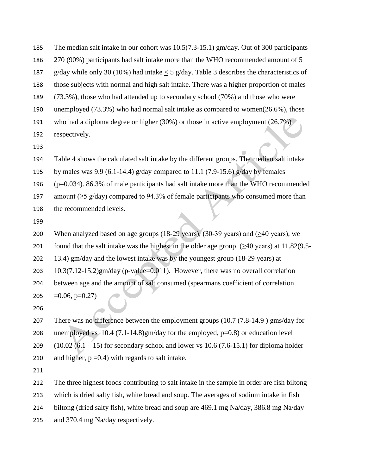- The median salt intake in our cohort was 10.5(7.3-15.1) gm/day. Out of 300 participants 270 (90%) participants had salt intake more than the WHO recommended amount of 5 187 g/day while only 30 (10%) had intake  $\leq$  5 g/day. Table 3 describes the characteristics of those subjects with normal and high salt intake. There was a higher proportion of males (73.3%), those who had attended up to secondary school (70%) and those who were unemployed (73.3%) who had normal salt intake as compared to women(26.6%), those who had a diploma degree or higher (30%) or those in active employment (26.7%) respectively.
- 

Table 4 shows the calculated salt intake by the different groups. The median salt intake

195 by males was 9.9 (6.1-14.4) g/day compared to 11.1 (7.9-15.6) g/day by females

(p=0.034). 86.3% of male participants had salt intake more than the WHO recommended

- 197 amount ( $\geq$ 5 g/day) compared to 94.3% of female participants who consumed more than
- the recommended levels.
- 

200 When analyzed based on age groups (18-29 years), (30-39 years) and  $(\geq 40 \text{ years})$ , we 201 found that the salt intake was the highest in the older age group  $(\geq 40 \text{ years})$  at 11.82(9.5- 13.4) gm/day and the lowest intake was by the youngest group (18-29 years) at 10.3(7.12-15.2)gm/day (p-value=0.011). However, there was no overall correlation between age and the amount of salt consumed (spearmans coefficient of correlation  $=0.06$ , p=0.27)

 There was no difference between the employment groups (10.7 (7.8-14.9 ) gms/day for unemployed vs 10.4 (7.1-14.8)gm/day for the employed, p=0.8) or education level  $(10.02 (6.1 – 15)$  for secondary school and lower vs 10.6 (7.6-15.1) for diploma holder 210 and higher,  $p = 0.4$ ) with regards to salt intake.

The three highest foods contributing to salt intake in the sample in order are fish biltong

which is dried salty fish, white bread and soup. The averages of sodium intake in fish

biltong (dried salty fish), white bread and soup are 469.1 mg Na/day, 386.8 mg Na/day

and 370.4 mg Na/day respectively.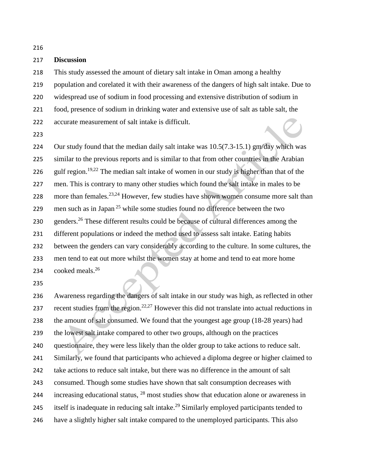**Discussion**

 This study assessed the amount of dietary salt intake in Oman among a healthy population and corelated it with their awareness of the dangers of high salt intake. Due to widespread use of sodium in food processing and extensive distribution of sodium in food, presence of sodium in drinking water and extensive use of salt as table salt, the accurate measurement of salt intake is difficult.

 Our study found that the median daily salt intake was 10.5(7.3-15.1) gm/day which was similar to the previous reports and is similar to that from other countries in the Arabian 226 gulf region.<sup>19,22</sup> The median salt intake of women in our study is higher than that of the men. This is contrary to many other studies which found the salt intake in males to be 228 more than females.  $23,24$  However, few studies have shown women consume more salt than 229 men such as in Japan<sup>25</sup> while some studies found no difference between the two 230 genders.<sup>26</sup> These different results could be because of cultural differences among the different populations or indeed the method used to assess salt intake. Eating habits between the genders can vary considerably according to the culture. In some cultures, the men tend to eat out more whilst the women stay at home and tend to eat more home cooked meals.<sup>26</sup> 

 Awareness regarding the dangers of salt intake in our study was high, as reflected in other 237 recent studies from the region.<sup>22,27</sup> However this did not translate into actual reductions in the amount of salt consumed. We found that the youngest age group (18-28 years) had the lowest salt intake compared to other two groups, although on the practices questionnaire, they were less likely than the older group to take actions to reduce salt. Similarly, we found that participants who achieved a diploma degree or higher claimed to take actions to reduce salt intake, but there was no difference in the amount of salt consumed. Though some studies have shown that salt consumption decreases with 244 increasing educational status,  $^{28}$  most studies show that education alone or awareness in 245 itself is inadequate in reducing salt intake.<sup>29</sup> Similarly employed participants tended to have a slightly higher salt intake compared to the unemployed participants. This also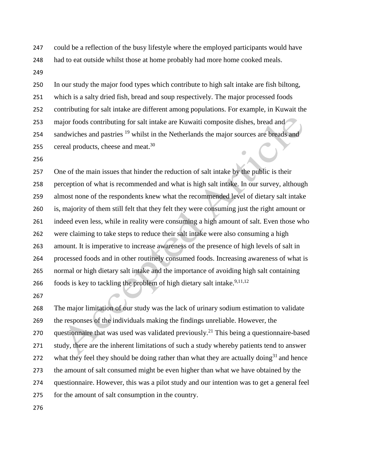could be a reflection of the busy lifestyle where the employed participants would have

had to eat outside whilst those at home probably had more home cooked meals.

 In our study the major food types which contribute to high salt intake are fish biltong, which is a salty dried fish, bread and soup respectively. The major processed foods contributing for salt intake are different among populations. For example, in Kuwait the major foods contributing for salt intake are Kuwaiti composite dishes, bread and 254 sandwiches and pastries <sup>19</sup> whilst in the Netherlands the major sources are breads and 255 cereal products, cheese and meat.

 One of the main issues that hinder the reduction of salt intake by the public is their perception of what is recommended and what is high salt intake. In our survey, although almost none of the respondents knew what the recommended level of dietary salt intake is, majority of them still felt that they felt they were consuming just the right amount or indeed even less, while in reality were consuming a high amount of salt. Even those who were claiming to take steps to reduce their salt intake were also consuming a high amount. It is imperative to increase awareness of the presence of high levels of salt in processed foods and in other routinely consumed foods. Increasing awareness of what is normal or high dietary salt intake and the importance of avoiding high salt containing foods is key to tackling the problem of high dietary salt intake.<sup>9,11,12</sup>

 The major limitation of our study was the lack of urinary sodium estimation to validate the responses of the individuals making the findings unreliable. However, the 270 questionnaire that was used was validated previously.<sup>21</sup> This being a questionnaire-based study, there are the inherent limitations of such a study whereby patients tend to answer 272 what they feel they should be doing rather than what they are actually doing<sup>31</sup> and hence the amount of salt consumed might be even higher than what we have obtained by the questionnaire. However, this was a pilot study and our intention was to get a general feel for the amount of salt consumption in the country.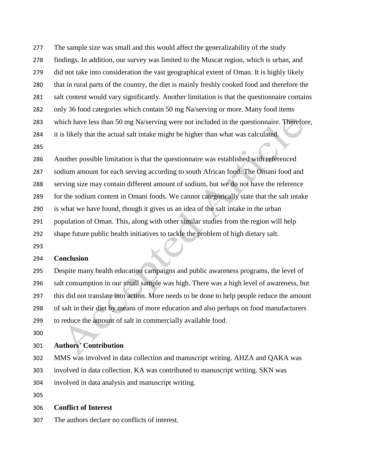- The sample size was small and this would affect the generalizability of the study
- findings. In addition, our survey was limited to the Muscat region, which is urban, and
- did not take into consideration the vast geographical extent of Oman. It is highly likely
- that in rural parts of the country, the diet is mainly freshly cooked food and therefore the
- salt content would vary significantly. Another limitation is that the questionnaire contains
- only 36 food categories which contain 50 mg Na/serving or more. Many food items
- which have less than 50 mg Na/serving were not included in the questionnaire. Therefore,
- it is likely that the actual salt intake might be higher than what was calculated.
- 
- Another possible limitation is that the questionnaire was established with referenced
- sodium amount for each serving according to south African food. The Omani food and
- serving size may contain different amount of sodium, but we do not have the reference
- for the sodium content in Omani foods. We cannot categorically state that the salt intake
- is what we have found, though it gives us an idea of the salt intake in the urban
- population of Oman. This, along with other similar studies from the region will help
- shape future public health initiatives to tackle the problem of high dietary salt.
- 

# **Conclusion**

 Despite many health education campaigns and public awareness programs, the level of salt consumption in our small sample was high. There was a high level of awareness, but this did not translate into action. More needs to be done to help people reduce the amount of salt in their diet by means of more education and also perhaps on food manufacturers to reduce the amount of salt in commercially available food.

# **Authors' Contribution**

MMS was involved in data collection and manuscript writing. AHZA and QAKA was

- involved in data collection. KA was contributed to manuscript writing. SKN was
- involved in data analysis and manuscript writing.
- 

# **Conflict of Interest**

The authors declare no conflicts of interest.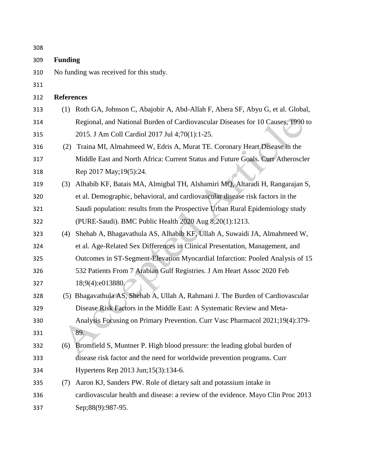| 308 |                                         |                                                                                  |  |  |  |
|-----|-----------------------------------------|----------------------------------------------------------------------------------|--|--|--|
| 309 | <b>Funding</b>                          |                                                                                  |  |  |  |
| 310 | No funding was received for this study. |                                                                                  |  |  |  |
| 311 |                                         |                                                                                  |  |  |  |
| 312 | <b>References</b>                       |                                                                                  |  |  |  |
| 313 | (1)                                     | Roth GA, Johnson C, Abajobir A, Abd-Allah F, Abera SF, Abyu G, et al. Global,    |  |  |  |
| 314 |                                         | Regional, and National Burden of Cardiovascular Diseases for 10 Causes, 1990 to  |  |  |  |
| 315 |                                         | 2015. J Am Coll Cardiol 2017 Jul 4;70(1):1-25.                                   |  |  |  |
| 316 | (2)                                     | Traina MI, Almahmeed W, Edris A, Murat TE. Coronary Heart Disease in the         |  |  |  |
| 317 |                                         | Middle East and North Africa: Current Status and Future Goals. Curr Atheroscler  |  |  |  |
| 318 |                                         | Rep 2017 May; 19(5): 24.                                                         |  |  |  |
| 319 | (3)                                     | Alhabib KF, Batais MA, Almigbal TH, Alshamiri MQ, Altaradi H, Rangarajan S,      |  |  |  |
| 320 |                                         | et al. Demographic, behavioral, and cardiovascular disease risk factors in the   |  |  |  |
| 321 |                                         | Saudi population: results from the Prospective Urban Rural Epidemiology study    |  |  |  |
| 322 |                                         | (PURE-Saudi). BMC Public Health 2020 Aug 8;20(1):1213.                           |  |  |  |
| 323 | (4)                                     | Shehab A, Bhagavathula AS, Alhabib KF, Ullah A, Suwaidi JA, Almahmeed W,         |  |  |  |
| 324 |                                         | et al. Age-Related Sex Differences in Clinical Presentation, Management, and     |  |  |  |
| 325 |                                         | Outcomes in ST-Segment-Elevation Myocardial Infarction: Pooled Analysis of 15    |  |  |  |
| 326 |                                         | 532 Patients From 7 Arabian Gulf Registries. J Am Heart Assoc 2020 Feb           |  |  |  |
| 327 |                                         | 18;9(4):e013880/                                                                 |  |  |  |
| 328 |                                         | (5) Bhagavathula AS, Shehab A, Ullah A, Rahmani J. The Burden of Cardiovascular  |  |  |  |
| 329 |                                         | Disease Risk Factors in the Middle East: A Systematic Review and Meta-           |  |  |  |
| 330 |                                         | Analysis Focusing on Primary Prevention. Curr Vasc Pharmacol 2021;19(4):379-     |  |  |  |
| 331 |                                         | 89.                                                                              |  |  |  |
| 332 | (6)                                     | Bromfield S, Muntner P. High blood pressure: the leading global burden of        |  |  |  |
| 333 |                                         | disease risk factor and the need for worldwide prevention programs. Curr         |  |  |  |
| 334 |                                         | Hypertens Rep 2013 Jun; 15(3): 134-6.                                            |  |  |  |
| 335 | (7)                                     | Aaron KJ, Sanders PW. Role of dietary salt and potassium intake in               |  |  |  |
| 336 |                                         | cardiovascular health and disease: a review of the evidence. Mayo Clin Proc 2013 |  |  |  |
| 337 |                                         | Sep;88(9):987-95.                                                                |  |  |  |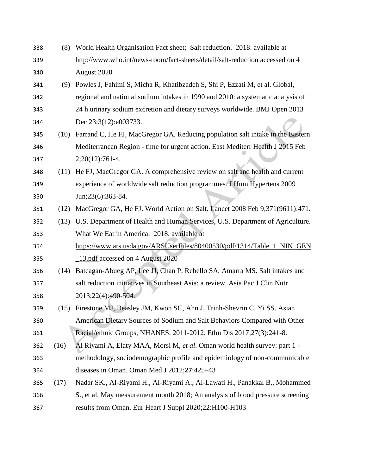| 338 | (8)  | World Health Organisation Fact sheet; Salt reduction. 2018. available at        |  |  |
|-----|------|---------------------------------------------------------------------------------|--|--|
| 339 |      | http://www.who.int/news-room/fact-sheets/detail/salt-reduction accessed on 4    |  |  |
| 340 |      | August 2020                                                                     |  |  |
| 341 | (9)  | Powles J, Fahimi S, Micha R, Khatibzadeh S, Shi P, Ezzati M, et al. Global,     |  |  |
| 342 |      | regional and national sodium intakes in 1990 and 2010: a systematic analysis of |  |  |
| 343 |      | 24 h urinary sodium excretion and dietary surveys worldwide. BMJ Open 2013      |  |  |
| 344 |      | Dec 23;3(12):e003733.                                                           |  |  |
| 345 | (10) | Farrand C, He FJ, MacGregor GA. Reducing population salt intake in the Eastern  |  |  |
| 346 |      | Mediterranean Region - time for urgent action. East Mediterr Health J 2015 Feb  |  |  |
| 347 |      | $2;20(12):761-4.$                                                               |  |  |
| 348 | (11) | He FJ, MacGregor GA. A comprehensive review on salt and health and current      |  |  |
| 349 |      | experience of worldwide salt reduction programmes. J Hum Hypertens 2009         |  |  |
| 350 |      | Jun;23(6):363-84.                                                               |  |  |
| 351 | (12) | MacGregor GA, He FJ. World Action on Salt. Lancet 2008 Feb 9;371(9611):471.     |  |  |
| 352 | (13) | U.S. Department of Health and Human Services, U.S. Department of Agriculture.   |  |  |
| 353 |      | What We Eat in America. 2018. available at                                      |  |  |
| 354 |      | https://www.ars.usda.gov/ARSUserFiles/80400530/pdf/1314/Table_1_NIN_GEN         |  |  |
| 355 |      | 13.pdf accessed on 4 August 2020                                                |  |  |
| 356 |      | (14) Batcagan-Abueg AP, Lee JJ, Chan P, Rebello SA, Amarra MS. Salt intakes and |  |  |
| 357 |      | salt reduction initiatives in Southeast Asia: a review. Asia Pac J Clin Nutr    |  |  |
| 358 |      | 2013;22(4):490-504.                                                             |  |  |
| 359 |      | (15) Firestone MJ, Beasley JM, Kwon SC, Ahn J, Trinh-Shevrin C, Yi SS. Asian    |  |  |
| 360 |      | American Dietary Sources of Sodium and Salt Behaviors Compared with Other       |  |  |
| 361 |      | Racial/ethnic Groups, NHANES, 2011-2012. Ethn Dis 2017;27(3):241-8.             |  |  |
| 362 | (16) | Al Riyami A, Elaty MAA, Morsi M, et al. Oman world health survey: part 1 -      |  |  |
| 363 |      | methodology, sociodemographic profile and epidemiology of non-communicable      |  |  |
| 364 |      | diseases in Oman. Oman Med J 2012;27:425-43                                     |  |  |
| 365 | (17) | Nadar SK., Al-Riyami H., Al-Riyami A., Al-Lawati H., Panakkal B., Mohammed      |  |  |
| 366 |      | S., et al, May measurement month 2018; An analysis of blood pressure screening  |  |  |
| 367 |      | results from Oman. Eur Heart J Suppl 2020;22:H100-H103                          |  |  |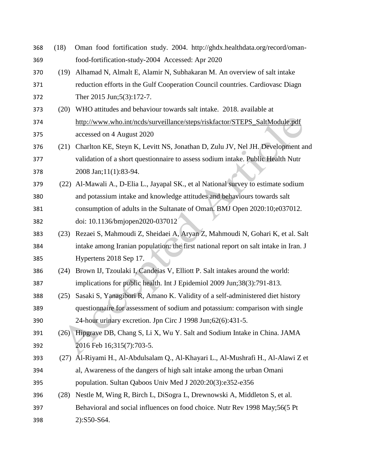| 368 | (18) | Oman food fortification study. 2004. http://ghdx.healthdata.org/record/oman-         |
|-----|------|--------------------------------------------------------------------------------------|
| 369 |      | food-fortification-study-2004 Accessed: Apr 2020                                     |
| 370 | (19) | Alhamad N, Almalt E, Alamir N, Subhakaran M. An overview of salt intake              |
| 371 |      | reduction efforts in the Gulf Cooperation Council countries. Cardiovasc Diagn        |
| 372 |      | Ther 2015 Jun;5(3):172-7.                                                            |
| 373 | (20) | WHO attitudes and behaviour towards salt intake. 2018. available at                  |
| 374 |      | http://www.who.int/ncds/surveillance/steps/riskfactor/STEPS_SaltModule.pdf           |
| 375 |      | accessed on 4 August 2020                                                            |
| 376 | (21) | Charlton KE, Steyn K, Levitt NS, Jonathan D, Zulu JV, Nel JH. Development and        |
| 377 |      | validation of a short questionnaire to assess sodium intake. Public Health Nutr      |
| 378 |      | 2008 Jan;11(1):83-94.                                                                |
| 379 | (22) | Al-Mawali A., D-Elia L., Jayapal SK., et al National survey to estimate sodium       |
| 380 |      | and potassium intake and knowledge attitudes and behaviours towards salt             |
| 381 |      | consumption of adults in the Sultanate of Oman. BMJ Open 2020:10;e037012.            |
| 382 |      | doi: 10.1136/bmjopen2020-037012                                                      |
| 383 | (23) | Rezaei S, Mahmoudi Z, Sheidaei A, Aryan Z, Mahmoudi N, Gohari K, et al. Salt         |
| 384 |      | intake among Iranian population: the first national report on salt intake in Iran. J |
| 385 |      | Hypertens 2018 Sep 17.                                                               |
| 386 | (24) | Brown IJ, Tzoulaki I, Candeias V, Elliott P. Salt intakes around the world:          |
| 387 |      | implications for public health. Int J Epidemiol 2009 Jun;38(3):791-813.              |
| 388 | (25) | Sasaki S, Yanagibori R, Amano K. Validity of a self-administered diet history        |
| 389 |      | questionnaire for assessment of sodium and potassium: comparison with single         |
| 390 |      | 24-hour urinary excretion. Jpn Circ J 1998 Jun;62(6):431-5.                          |
| 391 | (26) | Hipgrave DB, Chang S, Li X, Wu Y. Salt and Sodium Intake in China. JAMA              |
| 392 |      | 2016 Feb 16;315(7):703-5.                                                            |
| 393 | (27) | Al-Riyami H., Al-Abdulsalam Q., Al-Khayari L., Al-Mushrafi H., Al-Alawi Z et         |
| 394 |      | al, Awareness of the dangers of high salt intake among the urban Omani               |
| 395 |      | population. Sultan Qaboos Univ Med J 2020:20(3):e352-e356                            |
| 396 | (28) | Nestle M, Wing R, Birch L, DiSogra L, Drewnowski A, Middleton S, et al.              |
| 397 |      | Behavioral and social influences on food choice. Nutr Rev 1998 May;56(5 Pt           |
| 398 |      | 2):S50-S64.                                                                          |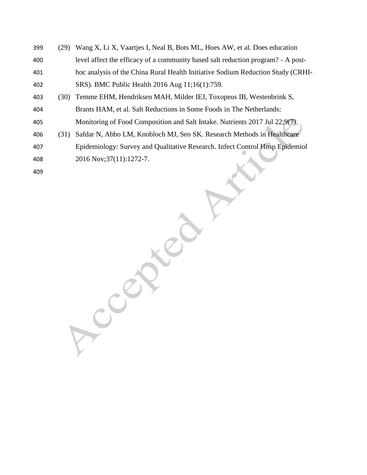(29) Wang X, Li X, Vaartjes I, Neal B, Bots ML, Hoes AW, et al. Does education level affect the efficacy of a community based salt reduction program? - A post- hoc analysis of the China Rural Health Initiative Sodium Reduction Study (CRHI- SRS). BMC Public Health 2016 Aug 11;16(1):759. (30) Temme EHM, Hendriksen MAH, Milder IEJ, Toxopeus IB, Westenbrink S, Brants HAM, et al. Salt Reductions in Some Foods in The Netherlands: Monitoring of Food Composition and Salt Intake. Nutrients 2017 Jul 22;9(7). (31) Safdar N, Abbo LM, Knobloch MJ, Seo SK. Research Methods in Healthcare Epidemiology: Survey and Qualitative Research. Infect Control Hosp Epidemiol 2016 Nov;37(11):1272-7. 

CCCR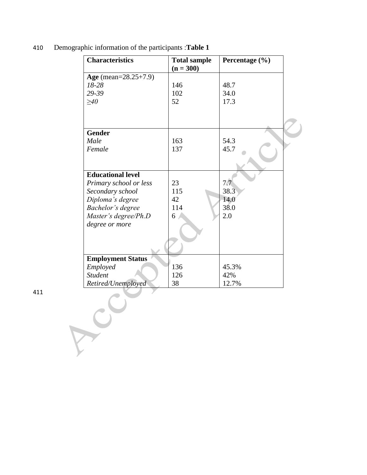|                          | <b>Total sample</b><br>$(n = 300)$ | Percentage (%) |
|--------------------------|------------------------------------|----------------|
| Age (mean= $28.25+7.9$ ) |                                    |                |
| $18 - 28$                | 146                                | 48.7           |
| 29-39                    | 102                                | 34.0           |
| $\geq 40$                | 52                                 | 17.3           |
| <b>Gender</b>            |                                    |                |
| Male                     | 163                                | 54.3           |
| Female                   | 137                                | 45.7           |
| <b>Educational level</b> |                                    |                |
| Primary school or less   | 23                                 | 7.7            |
| Secondary school         | 115                                | 38.3           |
| Diploma's degree         | 42                                 | 14.0           |
| Bachelor's degree        | 114                                | 38.0           |
| Master's degree/Ph.D     | 6                                  | 2.0            |
| degree or more           |                                    |                |
| <b>Employment Status</b> |                                    |                |
| Employed                 | 136                                | 45.3%          |
| <b>Student</b>           | 126                                | 42%            |
| Retired/Unemployed       | 38                                 | 12.7%          |

410 Demographic information of the participants :**Table 1**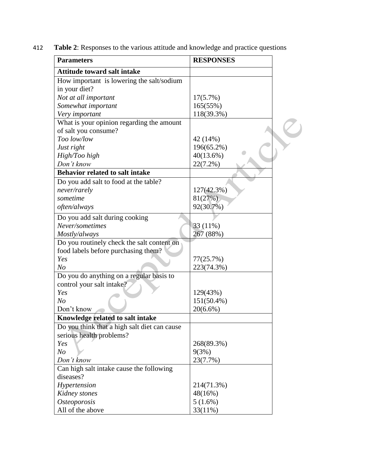| 412 | <b>Table 2:</b> Responses to the various attitude and knowledge and practice questions |  |  |  |
|-----|----------------------------------------------------------------------------------------|--|--|--|
|-----|----------------------------------------------------------------------------------------|--|--|--|

| <b>Parameters</b>                                     | <b>RESPONSES</b>  |  |
|-------------------------------------------------------|-------------------|--|
| <b>Attitude toward salt intake</b>                    |                   |  |
| How important is lowering the salt/sodium             |                   |  |
| in your diet?                                         |                   |  |
| Not at all important                                  | 17(5.7%)          |  |
| Somewhat important                                    | 165(55%)          |  |
| Very important                                        | 118(39.3%)        |  |
| What is your opinion regarding the amount             |                   |  |
| of salt you consume?                                  |                   |  |
| Too low/low                                           | 42 (14%)          |  |
| Just right                                            | 196(65.2%)        |  |
| High/Too high                                         | 40(13.6%)         |  |
| Don't know                                            | $22(7.2\%)$       |  |
| <b>Behavior related to salt intake</b>                |                   |  |
| Do you add salt to food at the table?                 |                   |  |
| never/rarely                                          | 127(42.3%)        |  |
| sometime                                              | 81(27%)           |  |
| often/always                                          | 92(30.7%)         |  |
| Do you add salt during cooking                        |                   |  |
| Never/sometimes                                       | $33(11\%)$        |  |
| Mostly/always                                         | 267 (88%)         |  |
| Do you routinely check the salt content on            |                   |  |
| food labels before purchasing them?                   |                   |  |
| Yes                                                   | 77(25.7%)         |  |
| N <sub>O</sub>                                        | 223(74.3%)        |  |
| Do you do anything on a regular basis to              |                   |  |
| control your salt intake?                             |                   |  |
| Yes                                                   | 129(43%)          |  |
| N <sub>O</sub>                                        | $151(50.4\%)$     |  |
| Don't know                                            | $20(6.6\%)$       |  |
| Knowledge related to salt intake                      |                   |  |
| Do you think that a high salt diet can cause          |                   |  |
| serious health problems?                              |                   |  |
| Yes                                                   | 268(89.3%)        |  |
|                                                       |                   |  |
| N o<br>Don't know                                     | 9(3%)<br>23(7.7%) |  |
|                                                       |                   |  |
| Can high salt intake cause the following<br>diseases? |                   |  |
|                                                       |                   |  |
| Hypertension                                          | 214(71.3%)        |  |
| Kidney stones                                         | 48(16%)           |  |
| <b>Osteoporosis</b>                                   | 5(1.6%)           |  |
| All of the above                                      | 33(11%)           |  |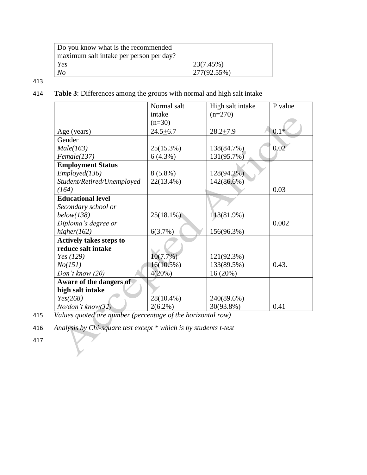| Do you know what is the recommended     |             |
|-----------------------------------------|-------------|
| maximum salt intake per person per day? |             |
| Yes                                     | 23(7.45%)   |
| No                                      | 277(92.55%) |

413

414 **Table 3**: Differences among the groups with normal and high salt intake

|                                | Normal salt  | High salt intake | P value |
|--------------------------------|--------------|------------------|---------|
|                                | intake       | $(n=270)$        |         |
|                                | $(n=30)$     |                  |         |
| Age (years)                    | $24.5 + 6.7$ | $28.2 + 7.9$     | $0.1*$  |
| Gender                         |              |                  |         |
| Male(163)                      | 25(15.3%)    | 138(84.7%)       | 0.02    |
| Female(137)                    | $6(4.3\%)$   | 131(95.7%)       |         |
| <b>Employment Status</b>       |              |                  |         |
| Employed(136)                  | $8(5.8\%)$   | 128(94.2%)       |         |
| Student/Retired/Unemployed     | 22(13.4%)    | 142(86.6%)       |         |
| (164)                          |              |                  | 0.03    |
| <b>Educational level</b>       |              |                  |         |
| Secondary school or            |              |                  |         |
| below(138)                     | $25(18.1\%)$ | 113(81.9%)       |         |
| Diploma's degree or            |              |                  | 0.002   |
| higher(162)                    | 6(3.7%)      | 156(96.3%)       |         |
| <b>Actively takes steps to</b> |              |                  |         |
| reduce salt intake             |              |                  |         |
| Yes (129)                      | 10(7.7%)     | 121(92.3%)       |         |
| No(151)                        | $16(10.5\%)$ | 133(89.5%)       | 0.43.   |
| Don't know $(20)$              | 4(20%)       | 16(20%)          |         |
| Aware of the dangers of        |              |                  |         |
| high salt intake               |              |                  |         |
| Yes(268)                       | 28(10.4%)    | 240(89.6%)       |         |
| $N$ o/don't know $(32)$        | $2(6.2\%)$   | 30(93.8%)        | 0.41    |

415 *Values quoted are number (percentage of the horizontal row)*

416 *Analysis by Chi-square test except \* which is by students t-test*